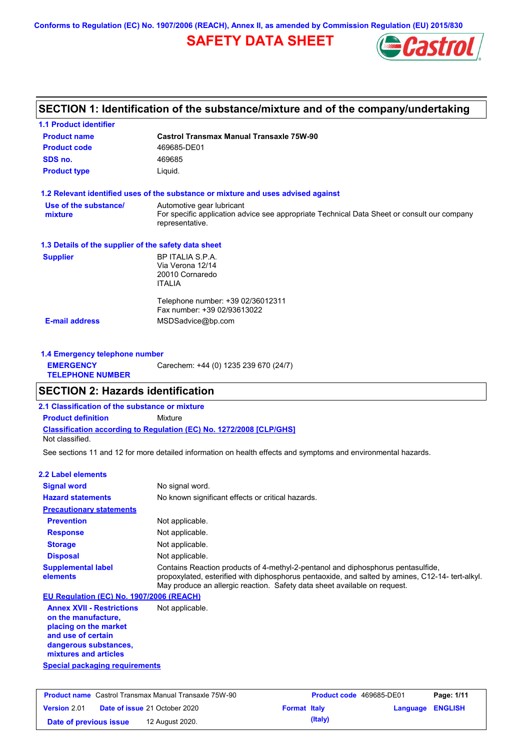**Conforms to Regulation (EC) No. 1907/2006 (REACH), Annex II, as amended by Commission Regulation (EU) 2015/830**

# **SAFETY DATA SHEET**



# **SECTION 1: Identification of the substance/mixture and of the company/undertaking**

| <b>Product name</b>                                  | <b>Castrol Transmax Manual Transaxle 75W-90</b>                                                                                             |
|------------------------------------------------------|---------------------------------------------------------------------------------------------------------------------------------------------|
| <b>Product code</b>                                  | 469685-DE01                                                                                                                                 |
| SDS no.                                              | 469685                                                                                                                                      |
| <b>Product type</b>                                  | Liquid.                                                                                                                                     |
|                                                      | 1.2 Relevant identified uses of the substance or mixture and uses advised against                                                           |
| Use of the substance/<br>mixture                     | Automotive gear lubricant<br>For specific application advice see appropriate Technical Data Sheet or consult our company<br>representative. |
| 1.3 Details of the supplier of the safety data sheet |                                                                                                                                             |
| <b>Supplier</b>                                      | BP ITALIA S.P.A.<br>Via Verona 12/14<br>20010 Cornaredo<br><b>ITALIA</b>                                                                    |
|                                                      | Telephone number: +39 02/36012311<br>Fax number: +39 02/93613022                                                                            |
| <b>E-mail address</b>                                | MSDSadvice@bp.com                                                                                                                           |

| 1.4 Emergency telephone number              |                                       |
|---------------------------------------------|---------------------------------------|
| <b>EMERGENCY</b><br><b>TELEPHONE NUMBER</b> | Carechem: +44 (0) 1235 239 670 (24/7) |

## **SECTION 2: Hazards identification**

**2.1 Classification of the substance or mixture**

**Classification according to Regulation (EC) No. 1272/2008 [CLP/GHS] Product definition** Mixture

Not classified.

See sections 11 and 12 for more detailed information on health effects and symptoms and environmental hazards.

#### **2.2 Label elements**

| <b>Signal word</b>                                                                                                                                       | No signal word.                                                                                                                                                                                                                                                   |
|----------------------------------------------------------------------------------------------------------------------------------------------------------|-------------------------------------------------------------------------------------------------------------------------------------------------------------------------------------------------------------------------------------------------------------------|
| <b>Hazard statements</b>                                                                                                                                 | No known significant effects or critical hazards.                                                                                                                                                                                                                 |
| <b>Precautionary statements</b>                                                                                                                          |                                                                                                                                                                                                                                                                   |
| <b>Prevention</b>                                                                                                                                        | Not applicable.                                                                                                                                                                                                                                                   |
| <b>Response</b>                                                                                                                                          | Not applicable.                                                                                                                                                                                                                                                   |
| <b>Storage</b>                                                                                                                                           | Not applicable.                                                                                                                                                                                                                                                   |
| <b>Disposal</b>                                                                                                                                          | Not applicable.                                                                                                                                                                                                                                                   |
| <b>Supplemental label</b><br>elements                                                                                                                    | Contains Reaction products of 4-methyl-2-pentanol and diphosphorus pentasulfide,<br>propoxylated, esterified with diphosphorus pentaoxide, and salted by amines, C12-14- tert-alkyl.<br>May produce an allergic reaction. Safety data sheet available on request. |
| EU Regulation (EC) No. 1907/2006 (REACH)                                                                                                                 |                                                                                                                                                                                                                                                                   |
| <b>Annex XVII - Restrictions</b><br>on the manufacture,<br>placing on the market<br>and use of certain<br>dangerous substances,<br>mixtures and articles | Not applicable.                                                                                                                                                                                                                                                   |
| <b>Special packaging requirements</b>                                                                                                                    |                                                                                                                                                                                                                                                                   |

| <b>Product name</b> Castrol Transmax Manual Transaxle 75W-90 |  | <b>Product code</b> 469685-DE01      |                     | Page: 1/11 |                         |  |
|--------------------------------------------------------------|--|--------------------------------------|---------------------|------------|-------------------------|--|
| <b>Version 2.01</b>                                          |  | <b>Date of issue 21 October 2020</b> | <b>Format Italy</b> |            | <b>Language ENGLISH</b> |  |
| Date of previous issue                                       |  | 12 August 2020.                      |                     | (Italy)    |                         |  |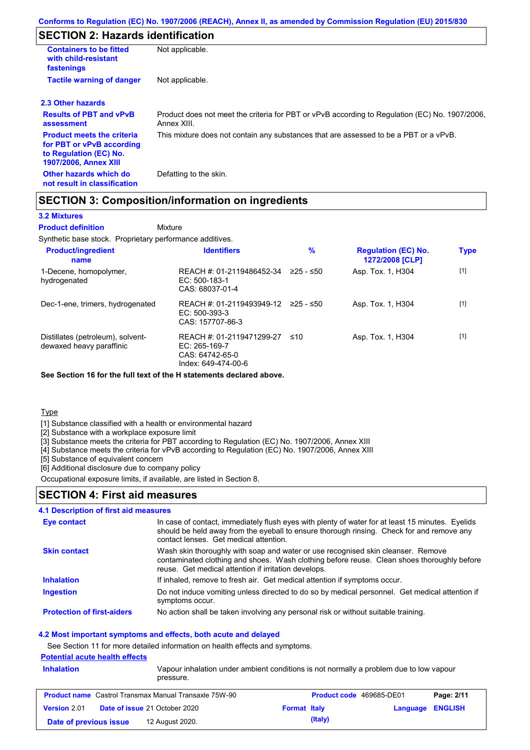# **SECTION 2: Hazards identification**

| <b>Containers to be fitted</b><br>with child-resistant<br>fastenings                                                     | Not applicable.                                                                                               |
|--------------------------------------------------------------------------------------------------------------------------|---------------------------------------------------------------------------------------------------------------|
| <b>Tactile warning of danger</b>                                                                                         | Not applicable.                                                                                               |
| 2.3 Other hazards                                                                                                        |                                                                                                               |
| <b>Results of PBT and vPvB</b><br>assessment                                                                             | Product does not meet the criteria for PBT or vPvB according to Regulation (EC) No. 1907/2006,<br>Annex XIII. |
| <b>Product meets the criteria</b><br>for PBT or vPvB according<br>to Regulation (EC) No.<br><b>1907/2006, Annex XIII</b> | This mixture does not contain any substances that are assessed to be a PBT or a vPvB.                         |
| Other hazards which do<br>not result in classification                                                                   | Defatting to the skin.                                                                                        |

## **SECTION 3: Composition/information on ingredients**

### **3.2 Mixtures**

Mixture **Product definition**

Synthetic base stock. Proprietary performance additives.

| <b>Product/ingredient</b><br>name                             | <b>Identifiers</b>                                                                   | $\%$      | <b>Regulation (EC) No.</b><br>1272/2008 [CLP] | <b>Type</b> |
|---------------------------------------------------------------|--------------------------------------------------------------------------------------|-----------|-----------------------------------------------|-------------|
| 1-Decene, homopolymer,<br>hydrogenated                        | REACH #: 01-2119486452-34<br>EC: 500-183-1<br>CAS: 68037-01-4                        | 225 - ≤50 | Asp. Tox. 1, H304                             | $[1]$       |
| Dec-1-ene, trimers, hydrogenated                              | REACH #: 01-2119493949-12<br>$EC: 500-393-3$<br>CAS: 157707-86-3                     | 225 - ≤50 | Asp. Tox. 1, H304                             | $[1]$       |
| Distillates (petroleum), solvent-<br>dewaxed heavy paraffinic | REACH #: 01-2119471299-27<br>EC: 265-169-7<br>CAS: 64742-65-0<br>Index: 649-474-00-6 | ≤10       | Asp. Tox. 1, H304                             | $[1]$       |

**See Section 16 for the full text of the H statements declared above.**

**Type** 

[1] Substance classified with a health or environmental hazard

[2] Substance with a workplace exposure limit

[3] Substance meets the criteria for PBT according to Regulation (EC) No. 1907/2006, Annex XIII

[4] Substance meets the criteria for vPvB according to Regulation (EC) No. 1907/2006, Annex XIII

[5] Substance of equivalent concern

[6] Additional disclosure due to company policy

Occupational exposure limits, if available, are listed in Section 8.

### **SECTION 4: First aid measures**

#### **4.1 Description of first aid measures**

| Eye contact                       | In case of contact, immediately flush eyes with plenty of water for at least 15 minutes. Eyelids<br>should be held away from the eyeball to ensure thorough rinsing. Check for and remove any<br>contact lenses. Get medical attention. |
|-----------------------------------|-----------------------------------------------------------------------------------------------------------------------------------------------------------------------------------------------------------------------------------------|
| <b>Skin contact</b>               | Wash skin thoroughly with soap and water or use recognised skin cleanser. Remove<br>contaminated clothing and shoes. Wash clothing before reuse. Clean shoes thoroughly before<br>reuse. Get medical attention if irritation develops.  |
| <b>Inhalation</b>                 | If inhaled, remove to fresh air. Get medical attention if symptoms occur.                                                                                                                                                               |
| <b>Ingestion</b>                  | Do not induce vomiting unless directed to do so by medical personnel. Get medical attention if<br>symptoms occur.                                                                                                                       |
| <b>Protection of first-aiders</b> | No action shall be taken involving any personal risk or without suitable training.                                                                                                                                                      |

#### **4.2 Most important symptoms and effects, both acute and delayed**

See Section 11 for more detailed information on health effects and symptoms.

## **Potential acute health effects**

| <b>Inhalation</b>      | pressure.                                                    | Vapour inhalation under ambient conditions is not normally a problem due to low vapour |                         |            |
|------------------------|--------------------------------------------------------------|----------------------------------------------------------------------------------------|-------------------------|------------|
|                        | <b>Product name</b> Castrol Transmax Manual Transaxle 75W-90 | <b>Product code</b> 469685-DE01                                                        |                         | Page: 2/11 |
| Version 2.01           | <b>Date of issue 21 October 2020</b>                         | <b>Format Italy</b>                                                                    | <b>Language ENGLISH</b> |            |
| Date of previous issue | 12 August 2020.                                              | (Italy)                                                                                |                         |            |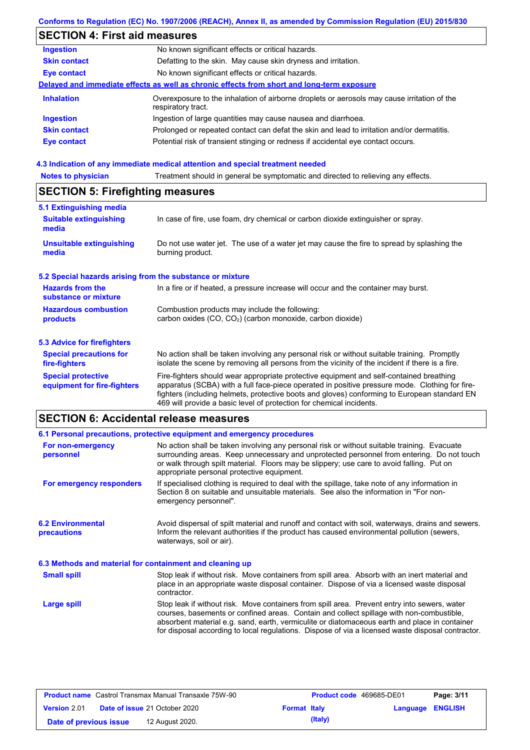### **Conforms to Regulation (EC) No. 1907/2006 (REACH), Annex II, as amended by Commission Regulation (EU) 2015/830**

# **SECTION 4: First aid measures**

| <b>Ingestion</b>    | No known significant effects or critical hazards.                                                                 |
|---------------------|-------------------------------------------------------------------------------------------------------------------|
| <b>Skin contact</b> | Defatting to the skin. May cause skin dryness and irritation.                                                     |
| Eye contact         | No known significant effects or critical hazards.                                                                 |
|                     | Delayed and immediate effects as well as chronic effects from short and long-term exposure                        |
| <b>Inhalation</b>   | Overexposure to the inhalation of airborne droplets or aerosols may cause irritation of the<br>respiratory tract. |
| <b>Ingestion</b>    | Ingestion of large quantities may cause nausea and diarrhoea.                                                     |
| <b>Skin contact</b> | Prolonged or repeated contact can defat the skin and lead to irritation and/or dermatitis.                        |
| Eye contact         | Potential risk of transient stinging or redness if accidental eye contact occurs.                                 |
|                     |                                                                                                                   |

# **4.3 Indication of any immediate medical attention and special treatment needed<br>Notes to physician** Treatment should in general be symptomatic and directed to relieving

| Treatment should in general be symptomatic and directed to relieving any effects.<br><b>Notes to physician</b>                         |                                                                                                                                                                                                                                                                                                                                                                   |  |  |  |  |
|----------------------------------------------------------------------------------------------------------------------------------------|-------------------------------------------------------------------------------------------------------------------------------------------------------------------------------------------------------------------------------------------------------------------------------------------------------------------------------------------------------------------|--|--|--|--|
| <b>SECTION 5: Firefighting measures</b>                                                                                                |                                                                                                                                                                                                                                                                                                                                                                   |  |  |  |  |
| 5.1 Extinguishing media                                                                                                                |                                                                                                                                                                                                                                                                                                                                                                   |  |  |  |  |
| <b>Suitable extinguishing</b><br>media                                                                                                 | In case of fire, use foam, dry chemical or carbon dioxide extinguisher or spray.                                                                                                                                                                                                                                                                                  |  |  |  |  |
| <b>Unsuitable extinguishing</b><br>media                                                                                               | Do not use water jet. The use of a water jet may cause the fire to spread by splashing the<br>burning product.                                                                                                                                                                                                                                                    |  |  |  |  |
| 5.2 Special hazards arising from the substance or mixture                                                                              |                                                                                                                                                                                                                                                                                                                                                                   |  |  |  |  |
| <b>Hazards from the</b><br>In a fire or if heated, a pressure increase will occur and the container may burst.<br>substance or mixture |                                                                                                                                                                                                                                                                                                                                                                   |  |  |  |  |
| <b>Hazardous combustion</b><br>products                                                                                                | Combustion products may include the following:<br>carbon oxides (CO, CO <sub>2</sub> ) (carbon monoxide, carbon dioxide)                                                                                                                                                                                                                                          |  |  |  |  |
| 5.3 Advice for firefighters                                                                                                            |                                                                                                                                                                                                                                                                                                                                                                   |  |  |  |  |
| <b>Special precautions for</b><br>fire-fighters                                                                                        | No action shall be taken involving any personal risk or without suitable training. Promptly<br>isolate the scene by removing all persons from the vicinity of the incident if there is a fire.                                                                                                                                                                    |  |  |  |  |
| <b>Special protective</b><br>equipment for fire-fighters                                                                               | Fire-fighters should wear appropriate protective equipment and self-contained breathing<br>apparatus (SCBA) with a full face-piece operated in positive pressure mode. Clothing for fire-<br>fighters (including helmets, protective boots and gloves) conforming to European standard EN<br>469 will provide a basic level of protection for chemical incidents. |  |  |  |  |

# **SECTION 6: Accidental release measures**

|                                                          | 6.1 Personal precautions, protective equipment and emergency procedures                                                                                                                                                                                                                                                                                                                        |
|----------------------------------------------------------|------------------------------------------------------------------------------------------------------------------------------------------------------------------------------------------------------------------------------------------------------------------------------------------------------------------------------------------------------------------------------------------------|
| For non-emergency<br>personnel                           | No action shall be taken involving any personal risk or without suitable training. Evacuate<br>surrounding areas. Keep unnecessary and unprotected personnel from entering. Do not touch<br>or walk through spilt material. Floors may be slippery; use care to avoid falling. Put on<br>appropriate personal protective equipment.                                                            |
| For emergency responders                                 | If specialised clothing is required to deal with the spillage, take note of any information in<br>Section 8 on suitable and unsuitable materials. See also the information in "For non-<br>emergency personnel".                                                                                                                                                                               |
| <b>6.2 Environmental</b><br>precautions                  | Avoid dispersal of spilt material and runoff and contact with soil, waterways, drains and sewers.<br>Inform the relevant authorities if the product has caused environmental pollution (sewers,<br>waterways, soil or air).                                                                                                                                                                    |
| 6.3 Methods and material for containment and cleaning up |                                                                                                                                                                                                                                                                                                                                                                                                |
| <b>Small spill</b>                                       | Stop leak if without risk. Move containers from spill area. Absorb with an inert material and<br>place in an appropriate waste disposal container. Dispose of via a licensed waste disposal<br>contractor.                                                                                                                                                                                     |
| Large spill                                              | Stop leak if without risk. Move containers from spill area. Prevent entry into sewers, water<br>courses, basements or confined areas. Contain and collect spillage with non-combustible.<br>absorbent material e.g. sand, earth, vermiculite or diatomaceous earth and place in container<br>for disposal according to local regulations. Dispose of via a licensed waste disposal contractor. |

| <b>Product name</b> Castrol Transmax Manual Transaxle 75W-90 |  |                                      | <b>Product code</b> 469685-DE01 | Page: 3/11 |                         |  |
|--------------------------------------------------------------|--|--------------------------------------|---------------------------------|------------|-------------------------|--|
| Version 2.01                                                 |  | <b>Date of issue 21 October 2020</b> | <b>Format Italy</b>             |            | <b>Language ENGLISH</b> |  |
| Date of previous issue                                       |  | 12 August 2020.                      |                                 | (Italy)    |                         |  |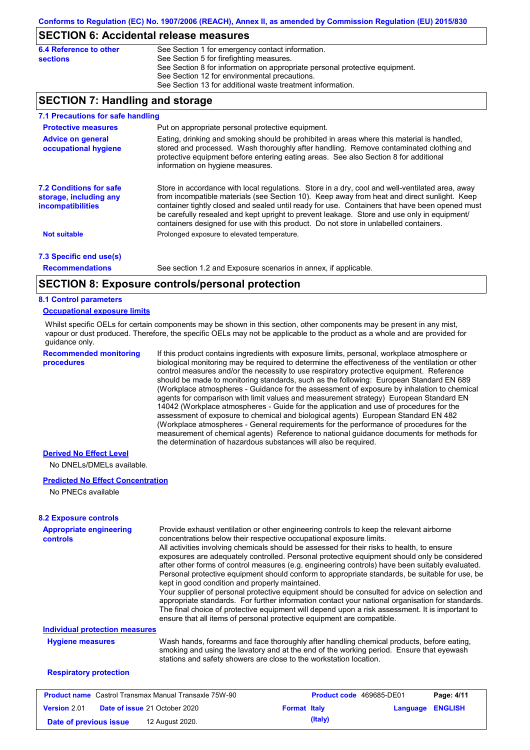### **SECTION 6: Accidental release measures**

| 6.4 Reference to other | See Section 1 for emergency contact information.                            |
|------------------------|-----------------------------------------------------------------------------|
| sections               | See Section 5 for firefighting measures.                                    |
|                        | See Section 8 for information on appropriate personal protective equipment. |
|                        | See Section 12 for environmental precautions.                               |
|                        | See Section 13 for additional waste treatment information.                  |

## **SECTION 7: Handling and storage**

| 7.1 Precautions for safe handling                                                    |                                                                                                                                                                                                                                                                                                                                                                                                                                                                                          |
|--------------------------------------------------------------------------------------|------------------------------------------------------------------------------------------------------------------------------------------------------------------------------------------------------------------------------------------------------------------------------------------------------------------------------------------------------------------------------------------------------------------------------------------------------------------------------------------|
| <b>Protective measures</b>                                                           | Put on appropriate personal protective equipment.                                                                                                                                                                                                                                                                                                                                                                                                                                        |
| <b>Advice on general</b><br>occupational hygiene                                     | Eating, drinking and smoking should be prohibited in areas where this material is handled.<br>stored and processed. Wash thoroughly after handling. Remove contaminated clothing and<br>protective equipment before entering eating areas. See also Section 8 for additional<br>information on hygiene measures.                                                                                                                                                                         |
| <b>7.2 Conditions for safe</b><br>storage, including any<br><i>incompatibilities</i> | Store in accordance with local regulations. Store in a dry, cool and well-ventilated area, away<br>from incompatible materials (see Section 10). Keep away from heat and direct sunlight. Keep<br>container tightly closed and sealed until ready for use. Containers that have been opened must<br>be carefully resealed and kept upright to prevent leakage. Store and use only in equipment/<br>containers designed for use with this product. Do not store in unlabelled containers. |
| <b>Not suitable</b>                                                                  | Prolonged exposure to elevated temperature.                                                                                                                                                                                                                                                                                                                                                                                                                                              |
| 7.3 Specific end use(s)                                                              |                                                                                                                                                                                                                                                                                                                                                                                                                                                                                          |
| <b>Recommendations</b>                                                               | See section 1.2 and Exposure scenarios in annex, if applicable.                                                                                                                                                                                                                                                                                                                                                                                                                          |
|                                                                                      | CECTION 0. Evangering controlations and invoted than                                                                                                                                                                                                                                                                                                                                                                                                                                     |

### **SECTION 8: Exposure controls/personal protection**

#### **8.1 Control parameters**

#### **Occupational exposure limits**

Whilst specific OELs for certain components may be shown in this section, other components may be present in any mist, vapour or dust produced. Therefore, the specific OELs may not be applicable to the product as a whole and are provided for guidance only.

**Recommended monitoring procedures**

If this product contains ingredients with exposure limits, personal, workplace atmosphere or biological monitoring may be required to determine the effectiveness of the ventilation or other control measures and/or the necessity to use respiratory protective equipment. Reference should be made to monitoring standards, such as the following: European Standard EN 689 (Workplace atmospheres - Guidance for the assessment of exposure by inhalation to chemical agents for comparison with limit values and measurement strategy) European Standard EN 14042 (Workplace atmospheres - Guide for the application and use of procedures for the assessment of exposure to chemical and biological agents) European Standard EN 482 (Workplace atmospheres - General requirements for the performance of procedures for the measurement of chemical agents) Reference to national guidance documents for methods for the determination of hazardous substances will also be required.

### **Derived No Effect Level**

No DNELs/DMELs available.

#### **Predicted No Effect Concentration**

No PNECs available

| <b>Appropriate engineering</b><br><b>controls</b>            | kept in good condition and properly maintained. | Provide exhaust ventilation or other engineering controls to keep the relevant airborne<br>concentrations below their respective occupational exposure limits.<br>All activities involving chemicals should be assessed for their risks to health, to ensure<br>exposures are adequately controlled. Personal protective equipment should only be considered<br>after other forms of control measures (e.g. engineering controls) have been suitably evaluated.<br>Personal protective equipment should conform to appropriate standards, be suitable for use, be<br>Your supplier of personal protective equipment should be consulted for advice on selection and<br>appropriate standards. For further information contact your national organisation for standards.<br>The final choice of protective equipment will depend upon a risk assessment. It is important to<br>ensure that all items of personal protective equipment are compatible. |          |                |
|--------------------------------------------------------------|-------------------------------------------------|------------------------------------------------------------------------------------------------------------------------------------------------------------------------------------------------------------------------------------------------------------------------------------------------------------------------------------------------------------------------------------------------------------------------------------------------------------------------------------------------------------------------------------------------------------------------------------------------------------------------------------------------------------------------------------------------------------------------------------------------------------------------------------------------------------------------------------------------------------------------------------------------------------------------------------------------------|----------|----------------|
| <b>Individual protection measures</b>                        |                                                 |                                                                                                                                                                                                                                                                                                                                                                                                                                                                                                                                                                                                                                                                                                                                                                                                                                                                                                                                                      |          |                |
| <b>Hygiene measures</b>                                      |                                                 | Wash hands, forearms and face thoroughly after handling chemical products, before eating,<br>smoking and using the lavatory and at the end of the working period. Ensure that eyewash<br>stations and safety showers are close to the workstation location.                                                                                                                                                                                                                                                                                                                                                                                                                                                                                                                                                                                                                                                                                          |          |                |
| <b>Respiratory protection</b>                                |                                                 |                                                                                                                                                                                                                                                                                                                                                                                                                                                                                                                                                                                                                                                                                                                                                                                                                                                                                                                                                      |          |                |
| <b>Product name</b> Castrol Transmax Manual Transaxle 75W-90 |                                                 | <b>Product code</b> 469685-DE01                                                                                                                                                                                                                                                                                                                                                                                                                                                                                                                                                                                                                                                                                                                                                                                                                                                                                                                      |          | Page: 4/11     |
| <b>Version 2.01</b>                                          | <b>Date of issue 21 October 2020</b>            | <b>Format Italy</b>                                                                                                                                                                                                                                                                                                                                                                                                                                                                                                                                                                                                                                                                                                                                                                                                                                                                                                                                  | Language | <b>ENGLISH</b> |

**Date of previous issue 12 August 2020. (Italy)** (Italy)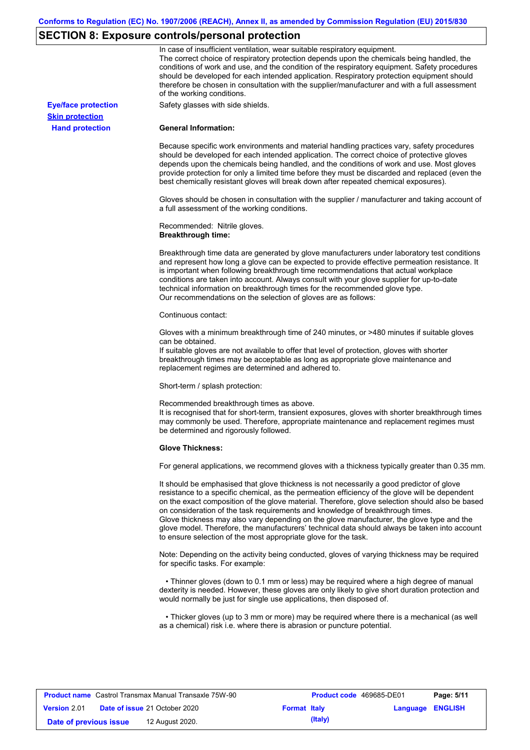# **SECTION 8: Exposure controls/personal protection**

|                            | In case of insufficient ventilation, wear suitable respiratory equipment.<br>The correct choice of respiratory protection depends upon the chemicals being handled, the<br>conditions of work and use, and the condition of the respiratory equipment. Safety procedures<br>should be developed for each intended application. Respiratory protection equipment should<br>therefore be chosen in consultation with the supplier/manufacturer and with a full assessment<br>of the working conditions.                                                                                                                                             |
|----------------------------|---------------------------------------------------------------------------------------------------------------------------------------------------------------------------------------------------------------------------------------------------------------------------------------------------------------------------------------------------------------------------------------------------------------------------------------------------------------------------------------------------------------------------------------------------------------------------------------------------------------------------------------------------|
| <b>Eye/face protection</b> | Safety glasses with side shields.                                                                                                                                                                                                                                                                                                                                                                                                                                                                                                                                                                                                                 |
| <b>Skin protection</b>     |                                                                                                                                                                                                                                                                                                                                                                                                                                                                                                                                                                                                                                                   |
| <b>Hand protection</b>     | <b>General Information:</b>                                                                                                                                                                                                                                                                                                                                                                                                                                                                                                                                                                                                                       |
|                            | Because specific work environments and material handling practices vary, safety procedures<br>should be developed for each intended application. The correct choice of protective gloves<br>depends upon the chemicals being handled, and the conditions of work and use. Most gloves<br>provide protection for only a limited time before they must be discarded and replaced (even the<br>best chemically resistant gloves will break down after repeated chemical exposures).                                                                                                                                                                  |
|                            | Gloves should be chosen in consultation with the supplier / manufacturer and taking account of<br>a full assessment of the working conditions.                                                                                                                                                                                                                                                                                                                                                                                                                                                                                                    |
|                            | Recommended: Nitrile gloves.<br><b>Breakthrough time:</b>                                                                                                                                                                                                                                                                                                                                                                                                                                                                                                                                                                                         |
|                            | Breakthrough time data are generated by glove manufacturers under laboratory test conditions<br>and represent how long a glove can be expected to provide effective permeation resistance. It<br>is important when following breakthrough time recommendations that actual workplace<br>conditions are taken into account. Always consult with your glove supplier for up-to-date<br>technical information on breakthrough times for the recommended glove type.<br>Our recommendations on the selection of gloves are as follows:                                                                                                                |
|                            | Continuous contact:                                                                                                                                                                                                                                                                                                                                                                                                                                                                                                                                                                                                                               |
|                            | Gloves with a minimum breakthrough time of 240 minutes, or >480 minutes if suitable gloves<br>can be obtained.                                                                                                                                                                                                                                                                                                                                                                                                                                                                                                                                    |
|                            | If suitable gloves are not available to offer that level of protection, gloves with shorter<br>breakthrough times may be acceptable as long as appropriate glove maintenance and<br>replacement regimes are determined and adhered to.                                                                                                                                                                                                                                                                                                                                                                                                            |
|                            | Short-term / splash protection:                                                                                                                                                                                                                                                                                                                                                                                                                                                                                                                                                                                                                   |
|                            | Recommended breakthrough times as above.<br>It is recognised that for short-term, transient exposures, gloves with shorter breakthrough times<br>may commonly be used. Therefore, appropriate maintenance and replacement regimes must<br>be determined and rigorously followed.                                                                                                                                                                                                                                                                                                                                                                  |
|                            | <b>Glove Thickness:</b>                                                                                                                                                                                                                                                                                                                                                                                                                                                                                                                                                                                                                           |
|                            | For general applications, we recommend gloves with a thickness typically greater than 0.35 mm.                                                                                                                                                                                                                                                                                                                                                                                                                                                                                                                                                    |
|                            | It should be emphasised that glove thickness is not necessarily a good predictor of glove<br>resistance to a specific chemical, as the permeation efficiency of the glove will be dependent<br>on the exact composition of the glove material. Therefore, glove selection should also be based<br>on consideration of the task requirements and knowledge of breakthrough times.<br>Glove thickness may also vary depending on the glove manufacturer, the glove type and the<br>glove model. Therefore, the manufacturers' technical data should always be taken into account<br>to ensure selection of the most appropriate glove for the task. |
|                            | Note: Depending on the activity being conducted, gloves of varying thickness may be required<br>for specific tasks. For example:                                                                                                                                                                                                                                                                                                                                                                                                                                                                                                                  |
|                            | • Thinner gloves (down to 0.1 mm or less) may be required where a high degree of manual<br>dexterity is needed. However, these gloves are only likely to give short duration protection and<br>would normally be just for single use applications, then disposed of.                                                                                                                                                                                                                                                                                                                                                                              |
|                            | • Thicker gloves (up to 3 mm or more) may be required where there is a mechanical (as well<br>as a chemical) risk i.e. where there is abrasion or puncture potential.                                                                                                                                                                                                                                                                                                                                                                                                                                                                             |

| <b>Product name</b> Castrol Transmax Manual Transaxle 75W-90 |  |                                      | Product code 469685-DE01 |         | Page: 5/11              |  |
|--------------------------------------------------------------|--|--------------------------------------|--------------------------|---------|-------------------------|--|
| <b>Version 2.01</b>                                          |  | <b>Date of issue 21 October 2020</b> | <b>Format Italy</b>      |         | <b>Language ENGLISH</b> |  |
| Date of previous issue                                       |  | 12 August 2020.                      |                          | (Italy) |                         |  |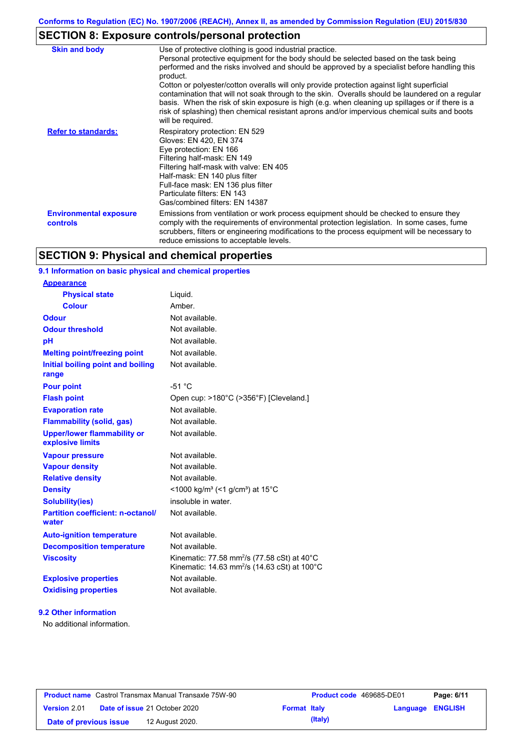# **SECTION 8: Exposure controls/personal protection**

| <b>Skin and body</b>                      | Use of protective clothing is good industrial practice.<br>Personal protective equipment for the body should be selected based on the task being<br>performed and the risks involved and should be approved by a specialist before handling this<br>product.<br>Cotton or polyester/cotton overalls will only provide protection against light superficial<br>contamination that will not soak through to the skin. Overalls should be laundered on a regular<br>basis. When the risk of skin exposure is high (e.g. when cleaning up spillages or if there is a<br>risk of splashing) then chemical resistant aprons and/or impervious chemical suits and boots<br>will be required. |
|-------------------------------------------|---------------------------------------------------------------------------------------------------------------------------------------------------------------------------------------------------------------------------------------------------------------------------------------------------------------------------------------------------------------------------------------------------------------------------------------------------------------------------------------------------------------------------------------------------------------------------------------------------------------------------------------------------------------------------------------|
| <b>Refer to standards:</b>                | Respiratory protection: EN 529<br>Gloves: EN 420, EN 374<br>Eye protection: EN 166<br>Filtering half-mask: EN 149<br>Filtering half-mask with valve: EN 405<br>Half-mask: EN 140 plus filter<br>Full-face mask: EN 136 plus filter<br>Particulate filters: EN 143<br>Gas/combined filters: EN 14387                                                                                                                                                                                                                                                                                                                                                                                   |
| <b>Environmental exposure</b><br>controls | Emissions from ventilation or work process equipment should be checked to ensure they<br>comply with the requirements of environmental protection legislation. In some cases, fume<br>scrubbers, filters or engineering modifications to the process equipment will be necessary to<br>reduce emissions to acceptable levels.                                                                                                                                                                                                                                                                                                                                                         |

# **SECTION 9: Physical and chemical properties**

### **9.1 Information on basic physical and chemical properties**

### **9.2 Other information**

No additional information.

| <b>Product name</b> Castrol Transmax Manual Transaxle 75W-90 |  |                                      |                     | <b>Product code</b> 469685-DE01 |                         | Page: 6/11 |
|--------------------------------------------------------------|--|--------------------------------------|---------------------|---------------------------------|-------------------------|------------|
| <b>Version 2.01</b>                                          |  | <b>Date of issue 21 October 2020</b> | <b>Format Italy</b> |                                 | <b>Language ENGLISH</b> |            |
| Date of previous issue                                       |  | 12 August 2020.                      |                     | (Italy)                         |                         |            |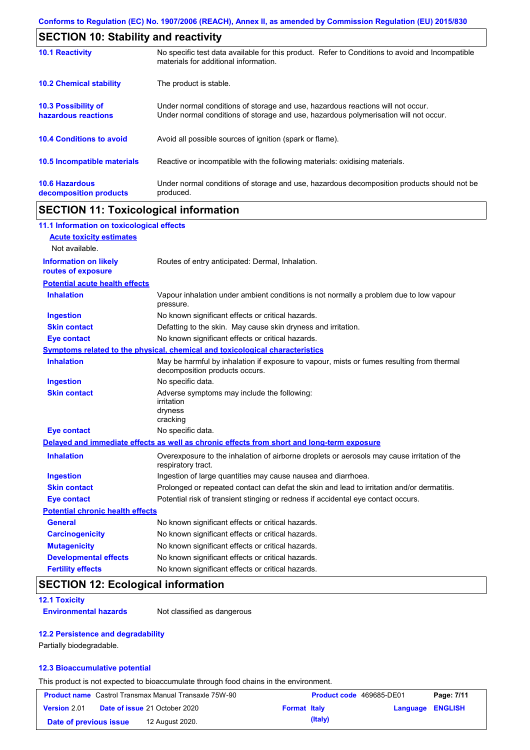| <b>SECTION 10: Stability and reactivity</b>       |                                                                                                                                                                         |  |  |
|---------------------------------------------------|-------------------------------------------------------------------------------------------------------------------------------------------------------------------------|--|--|
| <b>10.1 Reactivity</b>                            | No specific test data available for this product. Refer to Conditions to avoid and Incompatible<br>materials for additional information.                                |  |  |
| <b>10.2 Chemical stability</b>                    | The product is stable.                                                                                                                                                  |  |  |
| <b>10.3 Possibility of</b><br>hazardous reactions | Under normal conditions of storage and use, hazardous reactions will not occur.<br>Under normal conditions of storage and use, hazardous polymerisation will not occur. |  |  |
| <b>10.4 Conditions to avoid</b>                   | Avoid all possible sources of ignition (spark or flame).                                                                                                                |  |  |
| 10.5 Incompatible materials                       | Reactive or incompatible with the following materials: oxidising materials.                                                                                             |  |  |
| <b>10.6 Hazardous</b><br>decomposition products   | Under normal conditions of storage and use, hazardous decomposition products should not be<br>produced.                                                                 |  |  |

# **SECTION 11: Toxicological information**

| 11.1 Information on toxicological effects          |                                                                                                                             |
|----------------------------------------------------|-----------------------------------------------------------------------------------------------------------------------------|
| <b>Acute toxicity estimates</b>                    |                                                                                                                             |
| Not available.                                     |                                                                                                                             |
| <b>Information on likely</b><br>routes of exposure | Routes of entry anticipated: Dermal, Inhalation.                                                                            |
| <b>Potential acute health effects</b>              |                                                                                                                             |
| <b>Inhalation</b>                                  | Vapour inhalation under ambient conditions is not normally a problem due to low vapour<br>pressure.                         |
| <b>Ingestion</b>                                   | No known significant effects or critical hazards.                                                                           |
| <b>Skin contact</b>                                | Defatting to the skin. May cause skin dryness and irritation.                                                               |
| <b>Eye contact</b>                                 | No known significant effects or critical hazards.                                                                           |
|                                                    | Symptoms related to the physical, chemical and toxicological characteristics                                                |
| <b>Inhalation</b>                                  | May be harmful by inhalation if exposure to vapour, mists or fumes resulting from thermal<br>decomposition products occurs. |
| <b>Ingestion</b>                                   | No specific data.                                                                                                           |
| <b>Skin contact</b>                                | Adverse symptoms may include the following:<br>irritation<br>dryness<br>cracking                                            |
| <b>Eye contact</b>                                 | No specific data.                                                                                                           |
|                                                    | Delayed and immediate effects as well as chronic effects from short and long-term exposure                                  |
| <b>Inhalation</b>                                  | Overexposure to the inhalation of airborne droplets or aerosols may cause irritation of the<br>respiratory tract.           |
| <b>Ingestion</b>                                   | Ingestion of large quantities may cause nausea and diarrhoea.                                                               |
| <b>Skin contact</b>                                | Prolonged or repeated contact can defat the skin and lead to irritation and/or dermatitis.                                  |
| <b>Eye contact</b>                                 | Potential risk of transient stinging or redness if accidental eye contact occurs.                                           |
| <b>Potential chronic health effects</b>            |                                                                                                                             |
| <b>General</b>                                     | No known significant effects or critical hazards.                                                                           |
| <b>Carcinogenicity</b>                             | No known significant effects or critical hazards.                                                                           |
| <b>Mutagenicity</b>                                | No known significant effects or critical hazards.                                                                           |
| <b>Developmental effects</b>                       | No known significant effects or critical hazards.                                                                           |
| <b>Fertility effects</b>                           | No known significant effects or critical hazards.                                                                           |

# **SECTION 12: Ecological information**

### **12.1 Toxicity**

**Environmental hazards** Not classified as dangerous

### **12.2 Persistence and degradability**

Partially biodegradable.

### **12.3 Bioaccumulative potential**

This product is not expected to bioaccumulate through food chains in the environment.

| <b>Product name</b> Castrol Transmax Manual Transaxle 75W-90 |  |                                      | <b>Product code</b> 469685-DE01 |         | Page: 7/11       |  |
|--------------------------------------------------------------|--|--------------------------------------|---------------------------------|---------|------------------|--|
| <b>Version 2.01</b>                                          |  | <b>Date of issue 21 October 2020</b> | <b>Format Italy</b>             |         | Language ENGLISH |  |
| Date of previous issue                                       |  | 12 August 2020.                      |                                 | (Italy) |                  |  |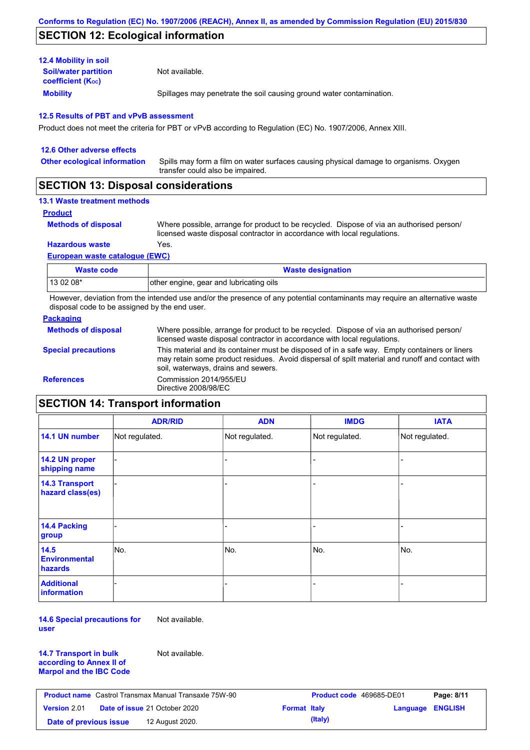## **SECTION 12: Ecological information**

| <b>12.4 Mobility in soil</b>                            |                                                                      |
|---------------------------------------------------------|----------------------------------------------------------------------|
| <b>Soil/water partition</b><br><b>coefficient (Koc)</b> | Not available.                                                       |
| <b>Mobility</b>                                         | Spillages may penetrate the soil causing ground water contamination. |

### **12.5 Results of PBT and vPvB assessment**

Product does not meet the criteria for PBT or vPvB according to Regulation (EC) No. 1907/2006, Annex XIII.

| 12.6 Other adverse effects          |                                                                                                                           |
|-------------------------------------|---------------------------------------------------------------------------------------------------------------------------|
| <b>Other ecological information</b> | Spills may form a film on water surfaces causing physical damage to organisms. Oxygen<br>transfer could also be impaired. |
|                                     |                                                                                                                           |

### **SECTION 13: Disposal considerations**

### **13.1 Waste treatment methods**

**Product**

**Methods of disposal**

Where possible, arrange for product to be recycled. Dispose of via an authorised person/ licensed waste disposal contractor in accordance with local regulations.

**Hazardous waste** Yes.

#### **European waste catalogue (EWC)**

| Waste code | <b>Waste designation</b>                |
|------------|-----------------------------------------|
| 13 02 08*  | other engine, gear and lubricating oils |

However, deviation from the intended use and/or the presence of any potential contaminants may require an alternative waste disposal code to be assigned by the end user.

### **Packaging**

| <b>Methods of disposal</b> | Where possible, arrange for product to be recycled. Dispose of via an authorised person/<br>licensed waste disposal contractor in accordance with local regulations.                                                                    |
|----------------------------|-----------------------------------------------------------------------------------------------------------------------------------------------------------------------------------------------------------------------------------------|
| <b>Special precautions</b> | This material and its container must be disposed of in a safe way. Empty containers or liners<br>may retain some product residues. Avoid dispersal of spilt material and runoff and contact with<br>soil, waterways, drains and sewers. |
| <b>References</b>          | Commission 2014/955/EU<br>Directive 2008/98/EC                                                                                                                                                                                          |

# **SECTION 14: Transport information**

|                                           | <b>ADR/RID</b> | <b>ADN</b>     | <b>IMDG</b>    | <b>IATA</b>    |
|-------------------------------------------|----------------|----------------|----------------|----------------|
| 14.1 UN number                            | Not regulated. | Not regulated. | Not regulated. | Not regulated. |
| 14.2 UN proper<br>shipping name           |                |                | -              |                |
| <b>14.3 Transport</b><br>hazard class(es) |                |                |                |                |
| 14.4 Packing<br>group                     |                |                |                |                |
| 14.5<br><b>Environmental</b><br>hazards   | No.            | No.            | No.            | No.            |
| <b>Additional</b><br><b>information</b>   |                |                |                |                |

**14.6 Special precautions for user** Not available.

| <b>14.7 Transport in bulk</b>  | N |
|--------------------------------|---|
| according to Annex II of       |   |
| <b>Marpol and the IBC Code</b> |   |

Not available.

| <b>Product name</b> Castrol Transmax Manual Transaxle 75W-90 |  |                                      | <b>Product code</b> 469685-DE01 |         | Page: 8/11       |  |
|--------------------------------------------------------------|--|--------------------------------------|---------------------------------|---------|------------------|--|
| Version 2.01                                                 |  | <b>Date of issue 21 October 2020</b> | <b>Format Italy</b>             |         | Language ENGLISH |  |
| Date of previous issue                                       |  | 12 August 2020.                      |                                 | (Italy) |                  |  |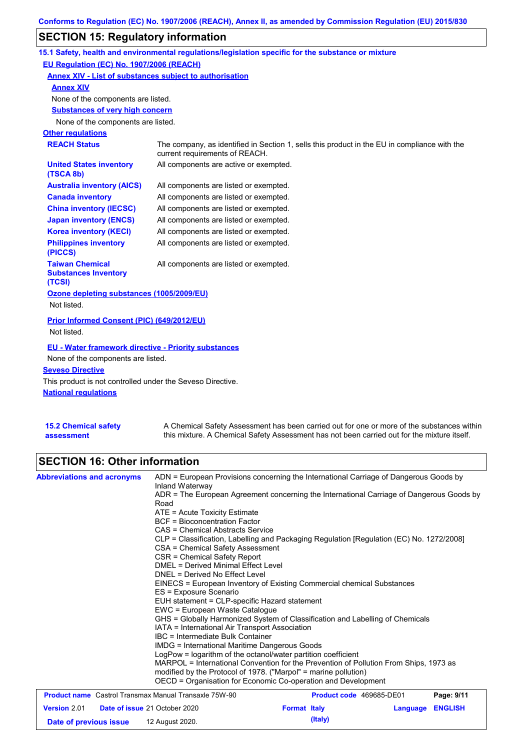# **SECTION 15: Regulatory information**

|                                                                 | 15.1 Safety, health and environmental regulations/legislation specific for the substance or mixture                            |
|-----------------------------------------------------------------|--------------------------------------------------------------------------------------------------------------------------------|
| EU Regulation (EC) No. 1907/2006 (REACH)                        |                                                                                                                                |
| Annex XIV - List of substances subject to authorisation         |                                                                                                                                |
| <b>Annex XIV</b>                                                |                                                                                                                                |
| None of the components are listed.                              |                                                                                                                                |
| <b>Substances of very high concern</b>                          |                                                                                                                                |
| None of the components are listed.                              |                                                                                                                                |
| <b>Other regulations</b>                                        |                                                                                                                                |
| <b>REACH Status</b>                                             | The company, as identified in Section 1, sells this product in the EU in compliance with the<br>current requirements of REACH. |
| <b>United States inventory</b><br>(TSCA 8b)                     | All components are active or exempted.                                                                                         |
| <b>Australia inventory (AICS)</b>                               | All components are listed or exempted.                                                                                         |
| <b>Canada inventory</b>                                         | All components are listed or exempted.                                                                                         |
| <b>China inventory (IECSC)</b>                                  | All components are listed or exempted.                                                                                         |
| <b>Japan inventory (ENCS)</b>                                   | All components are listed or exempted.                                                                                         |
| <b>Korea inventory (KECI)</b>                                   | All components are listed or exempted.                                                                                         |
| <b>Philippines inventory</b><br>(PICCS)                         | All components are listed or exempted.                                                                                         |
| <b>Taiwan Chemical</b><br><b>Substances Inventory</b><br>(TCSI) | All components are listed or exempted.                                                                                         |
| Ozone depleting substances (1005/2009/EU)<br>Not listed.        |                                                                                                                                |
|                                                                 |                                                                                                                                |
| Prior Informed Consent (PIC) (649/2012/EU)                      |                                                                                                                                |
| Not listed.                                                     |                                                                                                                                |
| EU - Water framework directive - Priority substances            |                                                                                                                                |
| None of the components are listed.                              |                                                                                                                                |
| <b>Seveso Directive</b>                                         |                                                                                                                                |
| This product is not controlled under the Seveso Directive.      |                                                                                                                                |
| <b>National requiations</b>                                     |                                                                                                                                |
|                                                                 |                                                                                                                                |

| <b>15.2 Chemical safety</b> | A Chemical Safety Assessment has been carried out for one or more of the substances within  |
|-----------------------------|---------------------------------------------------------------------------------------------|
| assessment                  | this mixture. A Chemical Safety Assessment has not been carried out for the mixture itself. |

# **SECTION 16: Other information**

| <b>Abbreviations and acronyms</b>                                                                                    | ADN = European Provisions concerning the International Carriage of Dangerous Goods by<br>Inland Waterway<br>ADR = The European Agreement concerning the International Carriage of Dangerous Goods by<br>Road<br>ATE = Acute Toxicity Estimate<br><b>BCF</b> = Bioconcentration Factor<br>CAS = Chemical Abstracts Service<br>CLP = Classification, Labelling and Packaging Regulation [Regulation (EC) No. 1272/2008]<br>CSA = Chemical Safety Assessment<br>CSR = Chemical Safety Report<br>DMEL = Derived Minimal Effect Level<br>DNEL = Derived No Effect Level<br>EINECS = European Inventory of Existing Commercial chemical Substances<br>ES = Exposure Scenario<br>EUH statement = CLP-specific Hazard statement<br>EWC = European Waste Catalogue<br>GHS = Globally Harmonized System of Classification and Labelling of Chemicals<br>IATA = International Air Transport Association<br>IBC = Intermediate Bulk Container<br><b>IMDG = International Maritime Dangerous Goods</b><br>LogPow = logarithm of the octanol/water partition coefficient<br>MARPOL = International Convention for the Prevention of Pollution From Ships, 1973 as<br>modified by the Protocol of 1978. ("Marpol" = marine pollution)<br>OECD = Organisation for Economic Co-operation and Development |                     |                          |          |                              |
|----------------------------------------------------------------------------------------------------------------------|-----------------------------------------------------------------------------------------------------------------------------------------------------------------------------------------------------------------------------------------------------------------------------------------------------------------------------------------------------------------------------------------------------------------------------------------------------------------------------------------------------------------------------------------------------------------------------------------------------------------------------------------------------------------------------------------------------------------------------------------------------------------------------------------------------------------------------------------------------------------------------------------------------------------------------------------------------------------------------------------------------------------------------------------------------------------------------------------------------------------------------------------------------------------------------------------------------------------------------------------------------------------------------------------|---------------------|--------------------------|----------|------------------------------|
| <b>Product name</b> Castrol Transmax Manual Transaxle 75W-90<br><b>Version 2.01</b><br>Date of issue 21 October 2020 |                                                                                                                                                                                                                                                                                                                                                                                                                                                                                                                                                                                                                                                                                                                                                                                                                                                                                                                                                                                                                                                                                                                                                                                                                                                                                         | <b>Format Italy</b> | Product code 469685-DE01 | Language | Page: 9/11<br><b>ENGLISH</b> |
| Date of previous issue                                                                                               | 12 August 2020.                                                                                                                                                                                                                                                                                                                                                                                                                                                                                                                                                                                                                                                                                                                                                                                                                                                                                                                                                                                                                                                                                                                                                                                                                                                                         |                     | (Italy)                  |          |                              |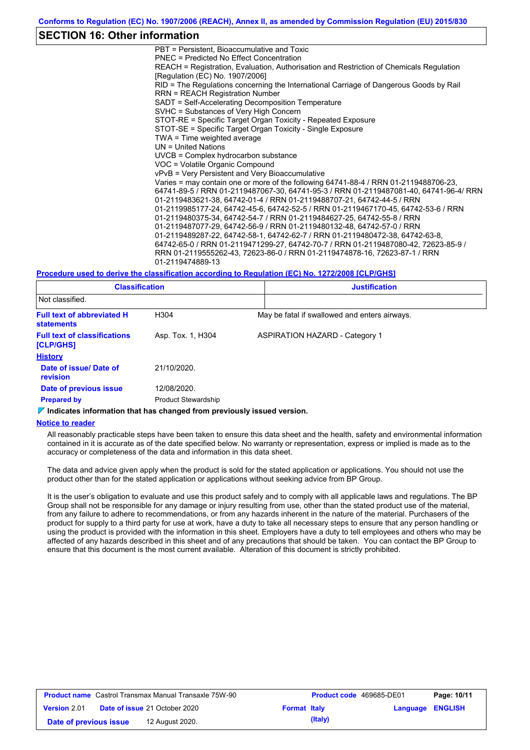### **SECTION 16: Other information**

PBT = Persistent, Bioaccumulative and Toxic PNEC = Predicted No Effect Concentration REACH = Registration, Evaluation, Authorisation and Restriction of Chemicals Regulation [Regulation (EC) No. 1907/2006] RID = The Regulations concerning the International Carriage of Dangerous Goods by Rail RRN = REACH Registration Number SADT = Self-Accelerating Decomposition Temperature SVHC = Substances of Very High Concern STOT-RE = Specific Target Organ Toxicity - Repeated Exposure STOT-SE = Specific Target Organ Toxicity - Single Exposure TWA = Time weighted average UN = United Nations UVCB = Complex hydrocarbon substance VOC = Volatile Organic Compound vPvB = Very Persistent and Very Bioaccumulative Varies = may contain one or more of the following 64741-88-4 / RRN 01-2119488706-23, 64741-89-5 / RRN 01-2119487067-30, 64741-95-3 / RRN 01-2119487081-40, 64741-96-4/ RRN 01-2119483621-38, 64742-01-4 / RRN 01-2119488707-21, 64742-44-5 / RRN 01-2119985177-24, 64742-45-6, 64742-52-5 / RRN 01-2119467170-45, 64742-53-6 / RRN 01-2119480375-34, 64742-54-7 / RRN 01-2119484627-25, 64742-55-8 / RRN 01-2119487077-29, 64742-56-9 / RRN 01-2119480132-48, 64742-57-0 / RRN 01-2119489287-22, 64742-58-1, 64742-62-7 / RRN 01-2119480472-38, 64742-63-8, 64742-65-0 / RRN 01-2119471299-27, 64742-70-7 / RRN 01-2119487080-42, 72623-85-9 / RRN 01-2119555262-43, 72623-86-0 / RRN 01-2119474878-16, 72623-87-1 / RRN 01-2119474889-13

#### **Procedure used to derive the classification according to Regulation (EC) No. 1272/2008 [CLP/GHS]**

| <b>Classification</b>                                  |                            | <b>Justification</b> |                                               |  |  |
|--------------------------------------------------------|----------------------------|----------------------|-----------------------------------------------|--|--|
| Not classified.                                        |                            |                      |                                               |  |  |
| <b>Full text of abbreviated H</b><br><b>statements</b> | H304                       |                      | May be fatal if swallowed and enters airways. |  |  |
| <b>Full text of classifications</b><br>[CLP/GHS]       | Asp. Tox. 1, H304          |                      | <b>ASPIRATION HAZARD - Category 1</b>         |  |  |
| <b>History</b>                                         |                            |                      |                                               |  |  |
| Date of issue/Date of<br>revision                      | 21/10/2020.                |                      |                                               |  |  |
| Date of previous issue                                 | 12/08/2020.                |                      |                                               |  |  |
| <b>Prepared by</b>                                     | <b>Product Stewardship</b> |                      |                                               |  |  |

#### **Indicates information that has changed from previously issued version.**

### **Notice to reader**

All reasonably practicable steps have been taken to ensure this data sheet and the health, safety and environmental information contained in it is accurate as of the date specified below. No warranty or representation, express or implied is made as to the accuracy or completeness of the data and information in this data sheet.

The data and advice given apply when the product is sold for the stated application or applications. You should not use the product other than for the stated application or applications without seeking advice from BP Group.

It is the user's obligation to evaluate and use this product safely and to comply with all applicable laws and regulations. The BP Group shall not be responsible for any damage or injury resulting from use, other than the stated product use of the material, from any failure to adhere to recommendations, or from any hazards inherent in the nature of the material. Purchasers of the product for supply to a third party for use at work, have a duty to take all necessary steps to ensure that any person handling or using the product is provided with the information in this sheet. Employers have a duty to tell employees and others who may be affected of any hazards described in this sheet and of any precautions that should be taken. You can contact the BP Group to ensure that this document is the most current available. Alteration of this document is strictly prohibited.

| <b>Product name</b> Castrol Transmax Manual Transaxle 75W-90 |                                      |                     | <b>Product code</b> 469685-DE01 |                         | Page: 10/11 |
|--------------------------------------------------------------|--------------------------------------|---------------------|---------------------------------|-------------------------|-------------|
| <b>Version 2.01</b>                                          | <b>Date of issue 21 October 2020</b> | <b>Format Italy</b> |                                 | <b>Language ENGLISH</b> |             |
| Date of previous issue                                       | 12 August 2020.                      |                     | (Italy)                         |                         |             |